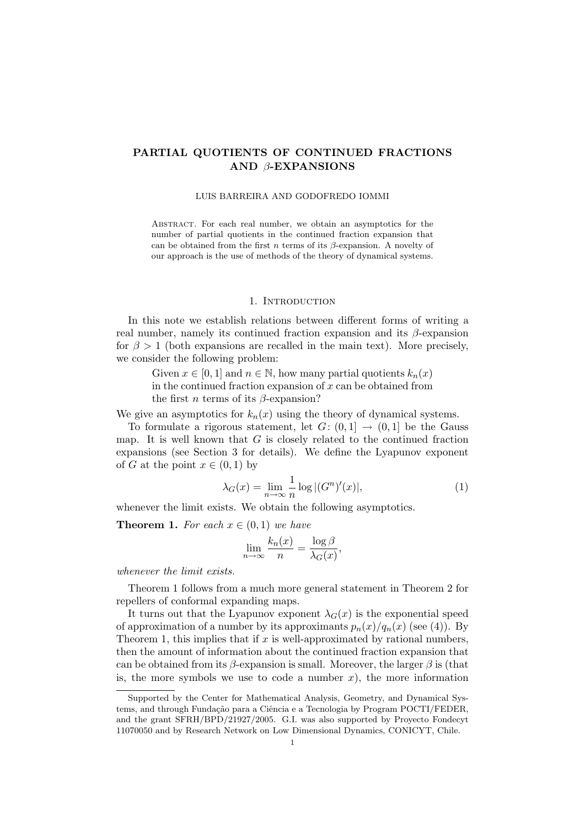# PARTIAL QUOTIENTS OF CONTINUED FRACTIONS AND  $\beta$ -EXPANSIONS

### LUIS BARREIRA AND GODOFREDO IOMMI

Abstract. For each real number, we obtain an asymptotics for the number of partial quotients in the continued fraction expansion that can be obtained from the first n terms of its  $\beta$ -expansion. A novelty of our approach is the use of methods of the theory of dynamical systems.

#### 1. INTRODUCTION

In this note we establish relations between different forms of writing a real number, namely its continued fraction expansion and its  $\beta$ -expansion for  $\beta > 1$  (both expansions are recalled in the main text). More precisely, we consider the following problem:

Given  $x \in [0, 1]$  and  $n \in \mathbb{N}$ , how many partial quotients  $k_n(x)$ in the continued fraction expansion of  $x$  can be obtained from the first *n* terms of its  $\beta$ -expansion?

We give an asymptotics for  $k_n(x)$  using the theory of dynamical systems.

To formulate a rigorous statement, let  $G: (0,1] \rightarrow (0,1]$  be the Gauss map. It is well known that  $G$  is closely related to the continued fraction expansions (see Section 3 for details). We define the Lyapunov exponent of G at the point  $x \in (0,1)$  by

$$
\lambda_G(x) = \lim_{n \to \infty} \frac{1}{n} \log |(G^n)'(x)|,
$$
\n(1)

whenever the limit exists. We obtain the following asymptotics.

**Theorem 1.** For each  $x \in (0,1)$  we have

$$
\lim_{n \to \infty} \frac{k_n(x)}{n} = \frac{\log \beta}{\lambda_G(x)},
$$

whenever the limit exists.

Theorem 1 follows from a much more general statement in Theorem 2 for repellers of conformal expanding maps.

It turns out that the Lyapunov exponent  $\lambda_G(x)$  is the exponential speed of approximation of a number by its approximants  $p_n(x)/q_n(x)$  (see (4)). By Theorem 1, this implies that if  $x$  is well-approximated by rational numbers. then the amount of information about the continued fraction expansion that can be obtained from its  $\beta$ -expansion is small. Moreover, the larger  $\beta$  is (that is, the more symbols we use to code a number  $x$ ), the more information

Supported by the Center for Mathematical Analysis, Geometry, and Dynamical Systems, and through Fundação para a Ciência e a Tecnologia by Program POCTI/FEDER, and the grant SFRH/BPD/21927/2005. G.I. was also supported by Proyecto Fondecyt 11070050 and by Research Network on Low Dimensional Dynamics, CONICYT, Chile.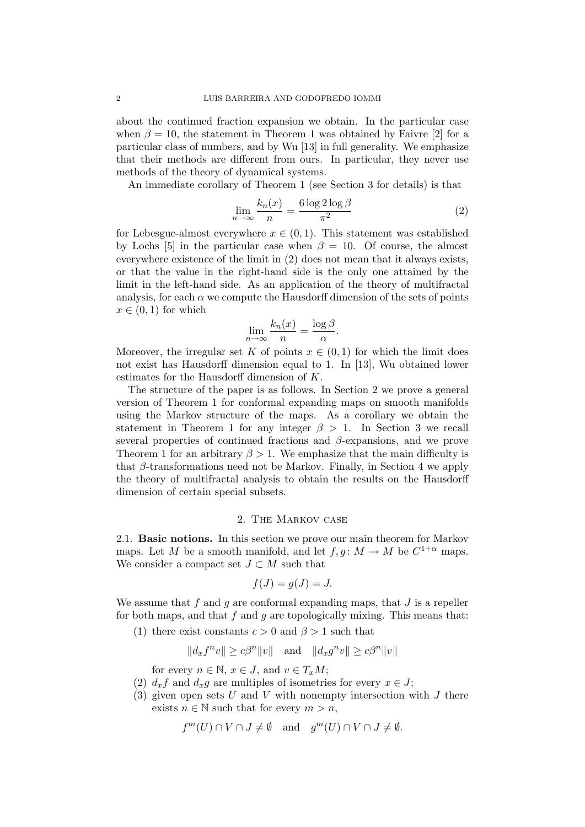about the continued fraction expansion we obtain. In the particular case when  $\beta = 10$ , the statement in Theorem 1 was obtained by Faivre [2] for a particular class of numbers, and by Wu [13] in full generality. We emphasize that their methods are different from ours. In particular, they never use methods of the theory of dynamical systems.

An immediate corollary of Theorem 1 (see Section 3 for details) is that

$$
\lim_{n \to \infty} \frac{k_n(x)}{n} = \frac{6 \log 2 \log \beta}{\pi^2} \tag{2}
$$

for Lebesgue-almost everywhere  $x \in (0, 1)$ . This statement was established by Lochs [5] in the particular case when  $\beta = 10$ . Of course, the almost everywhere existence of the limit in (2) does not mean that it always exists, or that the value in the right-hand side is the only one attained by the limit in the left-hand side. As an application of the theory of multifractal analysis, for each  $\alpha$  we compute the Hausdorff dimension of the sets of points  $x \in (0,1)$  for which

$$
\lim_{n \to \infty} \frac{k_n(x)}{n} = \frac{\log \beta}{\alpha}.
$$

Moreover, the irregular set K of points  $x \in (0,1)$  for which the limit does not exist has Hausdorff dimension equal to 1. In [13], Wu obtained lower estimates for the Hausdorff dimension of K.

The structure of the paper is as follows. In Section 2 we prove a general version of Theorem 1 for conformal expanding maps on smooth manifolds using the Markov structure of the maps. As a corollary we obtain the statement in Theorem 1 for any integer  $\beta > 1$ . In Section 3 we recall several properties of continued fractions and  $\beta$ -expansions, and we prove Theorem 1 for an arbitrary  $\beta > 1$ . We emphasize that the main difficulty is that  $\beta$ -transformations need not be Markov. Finally, in Section 4 we apply the theory of multifractal analysis to obtain the results on the Hausdorff dimension of certain special subsets.

# 2. The Markov case

2.1. Basic notions. In this section we prove our main theorem for Markov maps. Let M be a smooth manifold, and let  $f, g \colon M \to M$  be  $C^{1+\alpha}$  maps. We consider a compact set  $J \subset M$  such that

$$
f(J) = g(J) = J.
$$

We assume that f and g are conformal expanding maps, that  $J$  is a repeller for both maps, and that  $f$  and  $g$  are topologically mixing. This means that:

(1) there exist constants  $c > 0$  and  $\beta > 1$  such that

$$
||d_x f^n v|| \ge c\beta^n ||v|| \text{ and } ||d_x g^n v|| \ge c\beta^n ||v||
$$

for every  $n \in \mathbb{N}$ ,  $x \in J$ , and  $v \in T_xM$ ;

- (2)  $d_x f$  and  $d_x g$  are multiples of isometries for every  $x \in J$ ;
- (3) given open sets  $U$  and  $V$  with nonempty intersection with  $J$  there exists  $n \in \mathbb{N}$  such that for every  $m>n$ ,

$$
f^m(U) \cap V \cap J \neq \emptyset \quad \text{and} \quad g^m(U) \cap V \cap J \neq \emptyset.
$$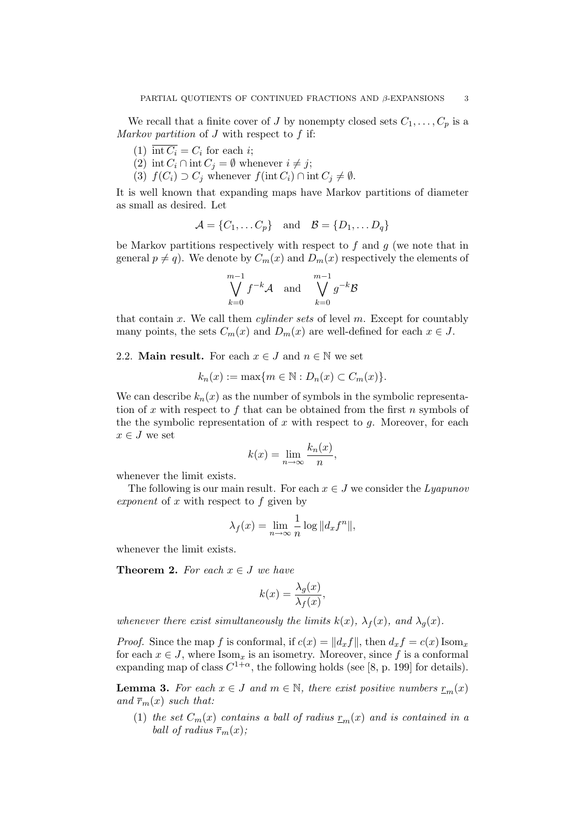We recall that a finite cover of J by nonempty closed sets  $C_1, \ldots, C_p$  is a Markov partition of  $J$  with respect to  $f$  if:

- (1)  $\overline{\text{int } C_i} = C_i$  for each *i*;
- (2) int  $C_i \cap \text{int } C_j = \emptyset$  whenever  $i \neq j$ ;
- (3)  $f(C_i) \supset C_j$  whenever  $f(int C_i) \cap int C_j \neq \emptyset$ .

It is well known that expanding maps have Markov partitions of diameter as small as desired. Let

$$
\mathcal{A} = \{C_1, \dots C_p\} \quad \text{and} \quad \mathcal{B} = \{D_1, \dots D_q\}
$$

be Markov partitions respectively with respect to  $f$  and  $g$  (we note that in general  $p \neq q$ . We denote by  $C_m(x)$  and  $D_m(x)$  respectively the elements of

$$
\bigvee_{k=0}^{m-1} f^{-k} \mathcal{A} \quad \text{and} \quad \bigvee_{k=0}^{m-1} g^{-k} \mathcal{B}
$$

that contain x. We call them *cylinder sets* of level  $m$ . Except for countably many points, the sets  $C_m(x)$  and  $D_m(x)$  are well-defined for each  $x \in J$ .

2.2. **Main result.** For each  $x \in J$  and  $n \in \mathbb{N}$  we set

$$
k_n(x) := \max\{m \in \mathbb{N} : D_n(x) \subset C_m(x)\}.
$$

We can describe  $k_n(x)$  as the number of symbols in the symbolic representation of x with respect to f that can be obtained from the first n symbols of the the symbolic representation of  $x$  with respect to  $g$ . Moreover, for each  $x \in J$  we set

$$
k(x) = \lim_{n \to \infty} \frac{k_n(x)}{n},
$$

whenever the limit exists.

The following is our main result. For each  $x \in J$  we consider the *Lyapunov* exponent of x with respect to f given by

$$
\lambda_f(x) = \lim_{n \to \infty} \frac{1}{n} \log \|d_x f^n\|,
$$

whenever the limit exists.

**Theorem 2.** For each  $x \in J$  we have

$$
k(x) = \frac{\lambda_g(x)}{\lambda_f(x)},
$$

whenever there exist simultaneously the limits  $k(x)$ ,  $\lambda_f(x)$ , and  $\lambda_g(x)$ .

*Proof.* Since the map f is conformal, if  $c(x) = ||d_x f||$ , then  $d_x f = c(x)$  Isom<sub>x</sub> for each  $x \in J$ , where  $\text{Isom}_x$  is an isometry. Moreover, since f is a conformal expanding map of class  $C^{1+\alpha}$ , the following holds (see [8, p. 199] for details).

**Lemma 3.** For each  $x \in J$  and  $m \in \mathbb{N}$ , there exist positive numbers  $\underline{r}_m(x)$ and  $\overline{r}_m(x)$  such that:

(1) the set  $C_m(x)$  contains a ball of radius  $r_m(x)$  and is contained in a ball of radius  $\overline{r}_m(x)$ ;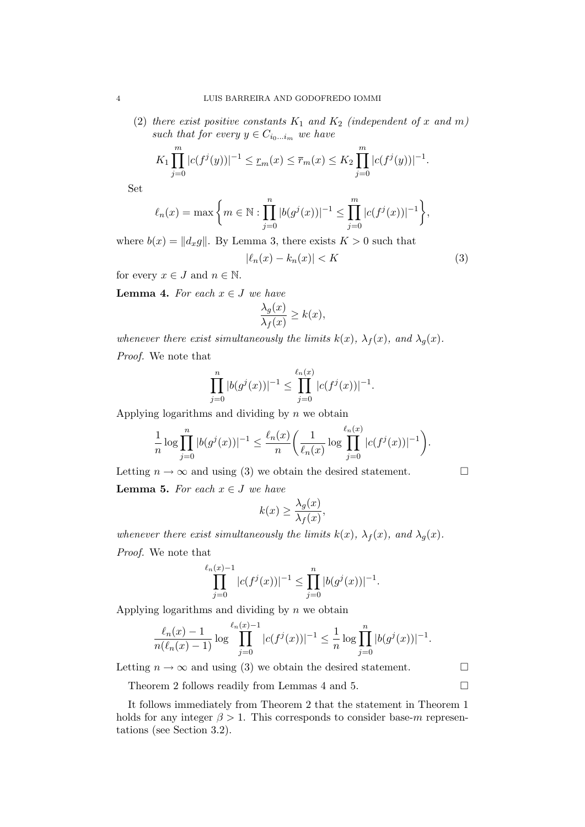(2) there exist positive constants  $K_1$  and  $K_2$  (independent of x and m) such that for every  $y \in C_{i_0...i_m}$  we have

$$
K_1 \prod_{j=0}^m |c(f^j(y))|^{-1} \leq r_m(x) \leq \overline{r}_m(x) \leq K_2 \prod_{j=0}^m |c(f^j(y))|^{-1}.
$$

Set

$$
\ell_n(x) = \max\bigg\{m \in \mathbb{N} : \prod_{j=0}^n |b(g^j(x))|^{-1} \le \prod_{j=0}^m |c(f^j(x))|^{-1}\bigg\},\
$$

where  $b(x) = ||d_xg||$ . By Lemma 3, there exists  $K > 0$  such that

$$
|\ell_n(x) - k_n(x)| < K \tag{3}
$$

for every  $x \in J$  and  $n \in \mathbb{N}$ .

**Lemma 4.** For each  $x \in J$  we have

$$
\frac{\lambda_g(x)}{\lambda_f(x)} \ge k(x),
$$

whenever there exist simultaneously the limits  $k(x)$ ,  $\lambda_f(x)$ , and  $\lambda_g(x)$ . Proof. We note that

$$
\prod_{j=0}^{n} |b(g^{j}(x))|^{-1} \leq \prod_{j=0}^{\ell_n(x)} |c(f^{j}(x))|^{-1}.
$$

Applying logarithms and dividing by  $n$  we obtain

$$
\frac{1}{n}\log \prod_{j=0}^n |b(g^j(x))|^{-1} \le \frac{\ell_n(x)}{n} \bigg(\frac{1}{\ell_n(x)}\log \prod_{j=0}^{\ell_n(x)} |c(f^j(x))|^{-1}\bigg).
$$

Letting  $n \to \infty$  and using (3) we obtain the desired statement.  $\Box$ 

**Lemma 5.** For each  $x \in J$  we have

$$
k(x) \ge \frac{\lambda_g(x)}{\lambda_f(x)},
$$

whenever there exist simultaneously the limits  $k(x)$ ,  $\lambda_f(x)$ , and  $\lambda_g(x)$ . Proof. We note that

$$
\prod_{j=0}^{\ell_n(x)-1} |c(f^j(x))|^{-1} \le \prod_{j=0}^n |b(g^j(x))|^{-1}.
$$

Applying logarithms and dividing by  $n$  we obtain

$$
\frac{\ell_n(x) - 1}{n(\ell_n(x) - 1)} \log \prod_{j=0}^{\ell_n(x) - 1} |c(f^j(x))|^{-1} \le \frac{1}{n} \log \prod_{j=0}^n |b(g^j(x))|^{-1}.
$$

Letting  $n \to \infty$  and using (3) we obtain the desired statement.  $\Box$ 

Theorem 2 follows readily from Lemmas 4 and 5.  $\Box$ 

It follows immediately from Theorem 2 that the statement in Theorem 1 holds for any integer  $\beta > 1$ . This corresponds to consider base-m representations (see Section 3.2).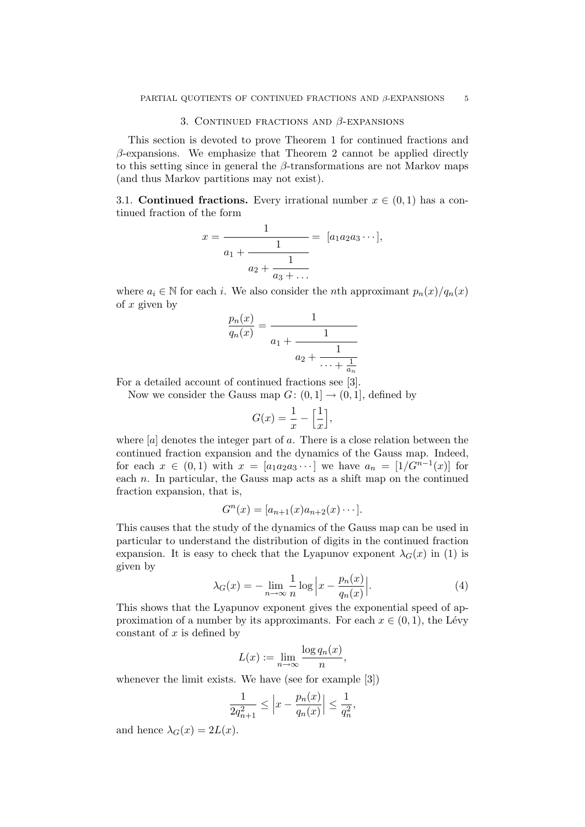#### 3. CONTINUED FRACTIONS AND  $\beta$ -EXPANSIONS

This section is devoted to prove Theorem 1 for continued fractions and  $\beta$ -expansions. We emphasize that Theorem 2 cannot be applied directly to this setting since in general the  $\beta$ -transformations are not Markov maps (and thus Markov partitions may not exist).

3.1. Continued fractions. Every irrational number  $x \in (0,1)$  has a continued fraction of the form

$$
x = \frac{1}{a_1 + \frac{1}{a_2 + \frac{1}{a_3 + \dots}}} = [a_1 a_2 a_3 \cdots],
$$

where  $a_i \in \mathbb{N}$  for each i. We also consider the *n*th approximant  $p_n(x)/q_n(x)$ of  $x$  given by

$$
\frac{p_n(x)}{q_n(x)} = \frac{1}{a_1 + \frac{1}{a_2 + \frac{1}{\cdots + \frac{1}{a_n}}}}
$$

For a detailed account of continued fractions see [3].

Now we consider the Gauss map  $G: (0, 1] \rightarrow (0, 1]$ , defined by

$$
G(x) = \frac{1}{x} - \left[\frac{1}{x}\right],
$$

where  $[a]$  denotes the integer part of a. There is a close relation between the continued fraction expansion and the dynamics of the Gauss map. Indeed, for each  $x \in (0,1)$  with  $x = [a_1a_2a_3\cdots]$  we have  $a_n = [1/G^{n-1}(x)]$  for each  $n$ . In particular, the Gauss map acts as a shift map on the continued fraction expansion, that is,

$$
G^n(x) = [a_{n+1}(x)a_{n+2}(x)\cdots].
$$

This causes that the study of the dynamics of the Gauss map can be used in particular to understand the distribution of digits in the continued fraction expansion. It is easy to check that the Lyapunov exponent  $\lambda_G(x)$  in (1) is given by

$$
\lambda_G(x) = -\lim_{n \to \infty} \frac{1}{n} \log \left| x - \frac{p_n(x)}{q_n(x)} \right|.
$$
 (4)

This shows that the Lyapunov exponent gives the exponential speed of approximation of a number by its approximants. For each  $x \in (0, 1)$ , the Lévy constant of  $x$  is defined by

$$
L(x) := \lim_{n \to \infty} \frac{\log q_n(x)}{n},
$$

whenever the limit exists. We have (see for example [3])

$$
\frac{1}{2q_{n+1}^2} \le \left| x - \frac{p_n(x)}{q_n(x)} \right| \le \frac{1}{q_n^2},
$$

and hence  $\lambda_G(x)=2L(x)$ .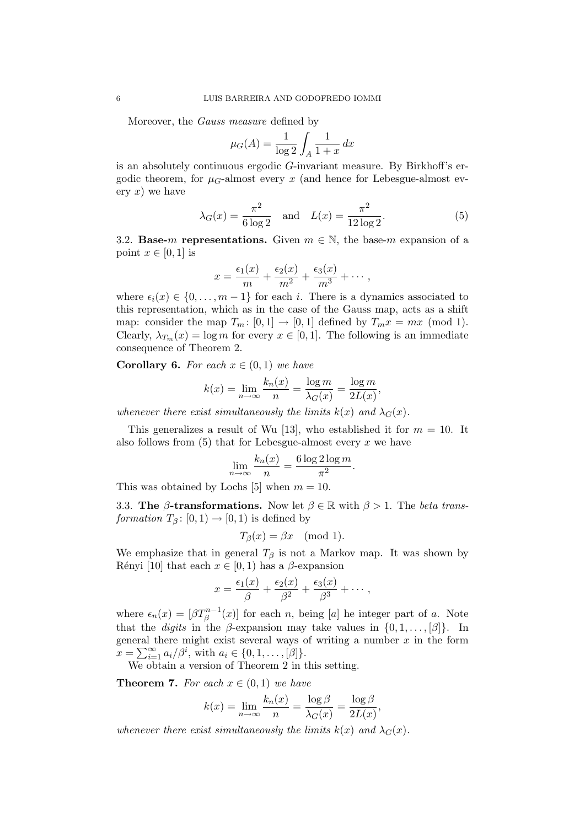Moreover, the Gauss measure defined by

$$
\mu_G(A) = \frac{1}{\log 2} \int_A \frac{1}{1+x} \, dx
$$

is an absolutely continuous ergodic G-invariant measure. By Birkhoff's ergodic theorem, for  $\mu_G$ -almost every x (and hence for Lebesgue-almost every  $x)$  we have

$$
\lambda_G(x) = \frac{\pi^2}{6 \log 2}
$$
 and  $L(x) = \frac{\pi^2}{12 \log 2}$ . (5)

3.2. **Base-**m representations. Given  $m \in \mathbb{N}$ , the base-m expansion of a point  $x \in [0, 1]$  is

$$
x = \frac{\epsilon_1(x)}{m} + \frac{\epsilon_2(x)}{m^2} + \frac{\epsilon_3(x)}{m^3} + \cdots,
$$

where  $\epsilon_i(x) \in \{0, \ldots, m-1\}$  for each i. There is a dynamics associated to this representation, which as in the case of the Gauss map, acts as a shift map: consider the map  $T_m: [0,1] \to [0,1]$  defined by  $T_m x = mx \pmod{1}$ . Clearly,  $\lambda_{T_m}(x) = \log m$  for every  $x \in [0, 1]$ . The following is an immediate consequence of Theorem 2.

**Corollary 6.** For each  $x \in (0,1)$  we have

$$
k(x) = \lim_{n \to \infty} \frac{k_n(x)}{n} = \frac{\log m}{\lambda_G(x)} = \frac{\log m}{2L(x)},
$$

whenever there exist simultaneously the limits  $k(x)$  and  $\lambda_G(x)$ .

This generalizes a result of Wu [13], who established it for  $m = 10$ . It also follows from  $(5)$  that for Lebesgue-almost every x we have

$$
\lim_{n \to \infty} \frac{k_n(x)}{n} = \frac{6 \log 2 \log m}{\pi^2}.
$$

This was obtained by Lochs [5] when  $m = 10$ .

3.3. The β-transformations. Now let  $\beta \in \mathbb{R}$  with  $\beta > 1$ . The beta trans*formation*  $T_\beta$ :  $[0, 1) \rightarrow [0, 1)$  is defined by

$$
T_{\beta}(x) = \beta x \pmod{1}.
$$

We emphasize that in general  $T_\beta$  is not a Markov map. It was shown by Rényi [10] that each  $x \in [0, 1)$  has a  $\beta$ -expansion

$$
x = \frac{\epsilon_1(x)}{\beta} + \frac{\epsilon_2(x)}{\beta^2} + \frac{\epsilon_3(x)}{\beta^3} + \cdots,
$$

where  $\epsilon_n(x) = [\beta T_\beta^{n-1}(x)]$  for each n, being [a] he integer part of a. Note that the *digits* in the  $\beta$ -expansion may take values in  $\{0, 1, \ldots, \beta\}$ . In general there might exist several ways of writing a number  $x$  in the form  $x = \sum_{i=1}^{\infty} a_i/\beta^i$ , with  $a_i \in \{0, 1, ..., [\beta]\}.$ 

We obtain a version of Theorem 2 in this setting.

**Theorem 7.** For each  $x \in (0, 1)$  we have

$$
k(x) = \lim_{n \to \infty} \frac{k_n(x)}{n} = \frac{\log \beta}{\lambda_G(x)} = \frac{\log \beta}{2L(x)},
$$

whenever there exist simultaneously the limits  $k(x)$  and  $\lambda_G(x)$ .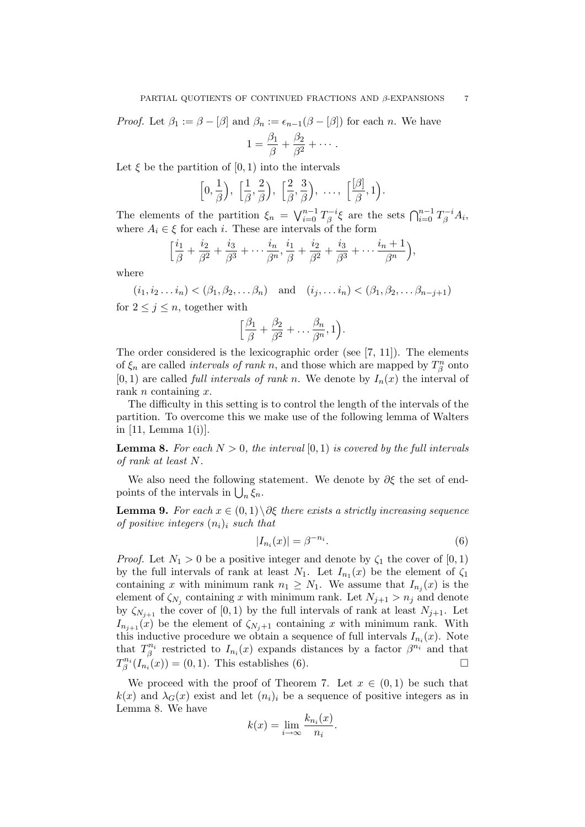*Proof.* Let  $\beta_1 := \beta - [\beta]$  and  $\beta_n := \epsilon_{n-1}(\beta - [\beta])$  for each n. We have

$$
1 = \frac{\beta_1}{\beta} + \frac{\beta_2}{\beta^2} + \cdots
$$

Let  $\xi$  be the partition of  $[0, 1)$  into the intervals

$$
\left[0,\frac{1}{\beta}\right), \ \ \left[\frac{1}{\beta},\frac{2}{\beta}\right), \ \ \left[\frac{2}{\beta},\frac{3}{\beta}\right), \ \ \ldots, \ \ \left[\frac{[\beta]}{\beta},1\right).
$$

The elements of the partition  $\xi_n = \bigvee_{i=0}^{n-1} T_{\beta}^{-i} \xi$  are the sets  $\bigcap_{i=0}^{n-1} T_{\beta}^{-i} A_i$ , where  $A_i \in \xi$  for each i. These are intervals of the form

$$
\left[\frac{i_1}{\beta}+\frac{i_2}{\beta^2}+\frac{i_3}{\beta^3}+\cdots\frac{i_n}{\beta^n},\frac{i_1}{\beta}+\frac{i_2}{\beta^2}+\frac{i_3}{\beta^3}+\cdots\frac{i_n+1}{\beta^n}\right),\right]
$$

where

 $(i_1, i_2 \ldots i_n) < (\beta_1, \beta_2, \ldots \beta_n)$  and  $(i_j, \ldots i_n) < (\beta_1, \beta_2, \ldots \beta_{n-j+1})$ for  $2 \leq i \leq n$ , together with

$$
\left[\frac{\beta_1}{\beta} + \frac{\beta_2}{\beta^2} + \dots \frac{\beta_n}{\beta^n}, 1\right).
$$

The order considered is the lexicographic order (see [7, 11]). The elements of  $\xi_n$  are called *intervals of rank n*, and those which are mapped by  $T_\beta^n$  onto  $[0, 1)$  are called *full intervals of rank n*. We denote by  $I_n(x)$  the interval of rank  $n$  containing  $x$ .

The difficulty in this setting is to control the length of the intervals of the partition. To overcome this we make use of the following lemma of Walters in [11, Lemma  $1(i)$ ].

**Lemma 8.** For each  $N > 0$ , the interval  $[0, 1)$  is covered by the full intervals of rank at least N.

We also need the following statement. We denote by  $\partial \xi$  the set of endpoints of the intervals in  $\bigcup_n \xi_n$ .

**Lemma 9.** For each  $x \in (0,1) \setminus \partial \xi$  there exists a strictly increasing sequence of positive integers  $(n_i)_i$  such that

$$
|I_{n_i}(x)| = \beta^{-n_i}.\tag{6}
$$

*Proof.* Let  $N_1 > 0$  be a positive integer and denote by  $\zeta_1$  the cover of  $[0, 1)$ by the full intervals of rank at least  $N_1$ . Let  $I_{n_1}(x)$  be the element of  $\zeta_1$ containing x with minimum rank  $n_1 \geq N_1$ . We assume that  $I_{n_i}(x)$  is the element of  $\zeta_{N_i}$  containing x with minimum rank. Let  $N_{j+1} > n_j$  and denote by  $\zeta_{N_{j+1}}$  the cover of [0, 1) by the full intervals of rank at least  $N_{j+1}$ . Let  $I_{n_{i+1}}(x)$  be the element of  $\zeta_{N_i+1}$  containing x with minimum rank. With this inductive procedure we obtain a sequence of full intervals  $I_{n_i}(x)$ . Note that  $T_{\beta}^{n_i}$  restricted to  $I_{n_i}(x)$  expands distances by a factor  $\beta^{n_i}$  and that  $T_{\beta}^{n_i}(I_{n_i}(x)) = (0,1)$ . This establishes (6).

We proceed with the proof of Theorem 7. Let  $x \in (0,1)$  be such that  $k(x)$  and  $\lambda_G(x)$  exist and let  $(n_i)_i$  be a sequence of positive integers as in Lemma 8. We have

$$
k(x) = \lim_{i \to \infty} \frac{k_{n_i}(x)}{n_i}.
$$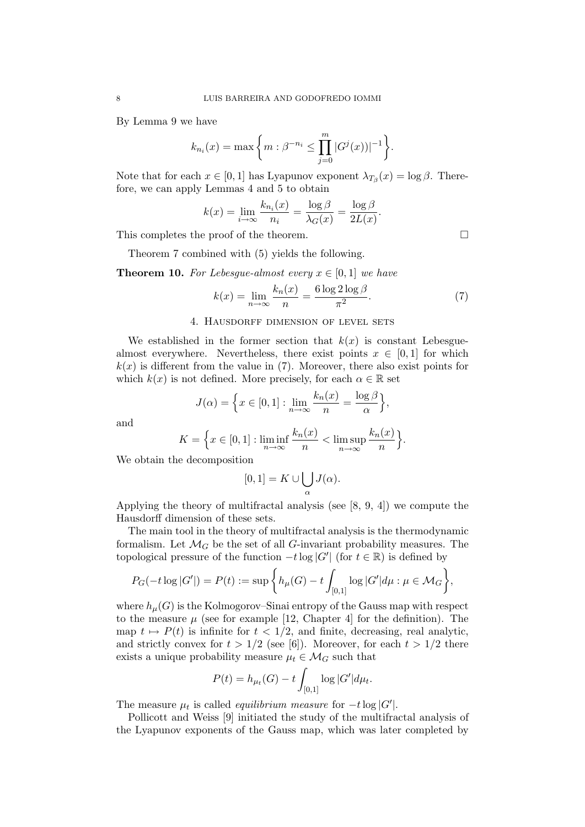By Lemma 9 we have

$$
k_{n_i}(x) = \max \left\{ m : \beta^{-n_i} \le \prod_{j=0}^m |G^j(x)|^{-1} \right\}.
$$

Note that for each  $x \in [0,1]$  has Lyapunov exponent  $\lambda_{T_{\beta}}(x) = \log \beta$ . Therefore, we can apply Lemmas 4 and 5 to obtain

$$
k(x) = \lim_{i \to \infty} \frac{k_{n_i}(x)}{n_i} = \frac{\log \beta}{\lambda_G(x)} = \frac{\log \beta}{2L(x)}.
$$

This completes the proof of the theorem. !

Theorem 7 combined with (5) yields the following.

**Theorem 10.** For Lebesque-almost every  $x \in [0,1]$  we have

$$
k(x) = \lim_{n \to \infty} \frac{k_n(x)}{n} = \frac{6 \log 2 \log \beta}{\pi^2}.
$$
 (7)

### 4. Hausdorff dimension of level sets

We established in the former section that  $k(x)$  is constant Lebesguealmost everywhere. Nevertheless, there exist points  $x \in [0,1]$  for which  $k(x)$  is different from the value in (7). Moreover, there also exist points for which  $k(x)$  is not defined. More precisely, for each  $\alpha \in \mathbb{R}$  set

$$
J(\alpha) = \left\{ x \in [0, 1] : \lim_{n \to \infty} \frac{k_n(x)}{n} = \frac{\log \beta}{\alpha} \right\},\
$$

and

$$
K = \left\{ x \in [0,1] : \liminf_{n \to \infty} \frac{k_n(x)}{n} < \limsup_{n \to \infty} \frac{k_n(x)}{n} \right\}.
$$

We obtain the decomposition

$$
[0,1]=K\cup\bigcup_{\alpha}J(\alpha).
$$

Applying the theory of multifractal analysis (see  $[8, 9, 4]$ ) we compute the Hausdorff dimension of these sets.

The main tool in the theory of multifractal analysis is the thermodynamic formalism. Let  $\mathcal{M}_G$  be the set of all G-invariant probability measures. The topological pressure of the function  $-t \log |G'|$  (for  $t \in \mathbb{R}$ ) is defined by

$$
P_G(-t \log |G'|) = P(t) := \sup \bigg\{ h_{\mu}(G) - t \int_{[0,1]} \log |G'| d\mu : \mu \in \mathcal{M}_G \bigg\},
$$

where  $h_\mu(G)$  is the Kolmogorov–Sinai entropy of the Gauss map with respect to the measure  $\mu$  (see for example [12, Chapter 4] for the definition). The map  $t \mapsto P(t)$  is infinite for  $t < 1/2$ , and finite, decreasing, real analytic. and strictly convex for  $t > 1/2$  (see [6]). Moreover, for each  $t > 1/2$  there exists a unique probability measure  $\mu_t \in \mathcal{M}_G$  such that

$$
P(t) = h_{\mu_t}(G) - t \int_{[0,1]} \log |G'| d\mu_t.
$$

The measure  $\mu_t$  is called *equilibrium measure* for  $-t \log |G'|$ .

Pollicott and Weiss [9] initiated the study of the multifractal analysis of the Lyapunov exponents of the Gauss map, which was later completed by

$$
\Box
$$